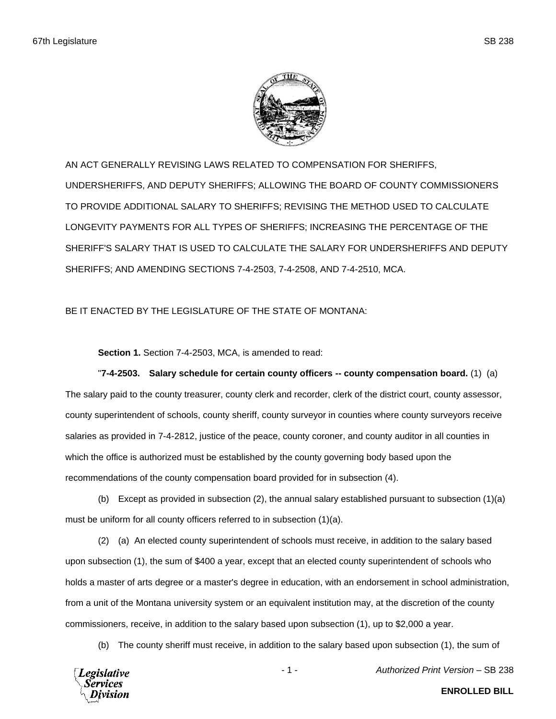

AN ACT GENERALLY REVISING LAWS RELATED TO COMPENSATION FOR SHERIFFS, UNDERSHERIFFS, AND DEPUTY SHERIFFS; ALLOWING THE BOARD OF COUNTY COMMISSIONERS TO PROVIDE ADDITIONAL SALARY TO SHERIFFS; REVISING THE METHOD USED TO CALCULATE LONGEVITY PAYMENTS FOR ALL TYPES OF SHERIFFS; INCREASING THE PERCENTAGE OF THE SHERIFF'S SALARY THAT IS USED TO CALCULATE THE SALARY FOR UNDERSHERIFFS AND DEPUTY SHERIFFS; AND AMENDING SECTIONS 7-4-2503, 7-4-2508, AND 7-4-2510, MCA.

## BE IT ENACTED BY THE LEGISLATURE OF THE STATE OF MONTANA:

**Section 1.** Section 7-4-2503, MCA, is amended to read:

"**7-4-2503. Salary schedule for certain county officers -- county compensation board.** (1) (a) The salary paid to the county treasurer, county clerk and recorder, clerk of the district court, county assessor, county superintendent of schools, county sheriff, county surveyor in counties where county surveyors receive salaries as provided in 7-4-2812, justice of the peace, county coroner, and county auditor in all counties in which the office is authorized must be established by the county governing body based upon the recommendations of the county compensation board provided for in subsection (4).

(b) Except as provided in subsection (2), the annual salary established pursuant to subsection  $(1)(a)$ must be uniform for all county officers referred to in subsection (1)(a).

(2) (a) An elected county superintendent of schools must receive, in addition to the salary based upon subsection (1), the sum of \$400 a year, except that an elected county superintendent of schools who holds a master of arts degree or a master's degree in education, with an endorsement in school administration, from a unit of the Montana university system or an equivalent institution may, at the discretion of the county commissioners, receive, in addition to the salary based upon subsection (1), up to \$2,000 a year.

(b) The county sheriff must receive, in addition to the salary based upon subsection (1), the sum of



- 1 - *Authorized Print Version* – SB 238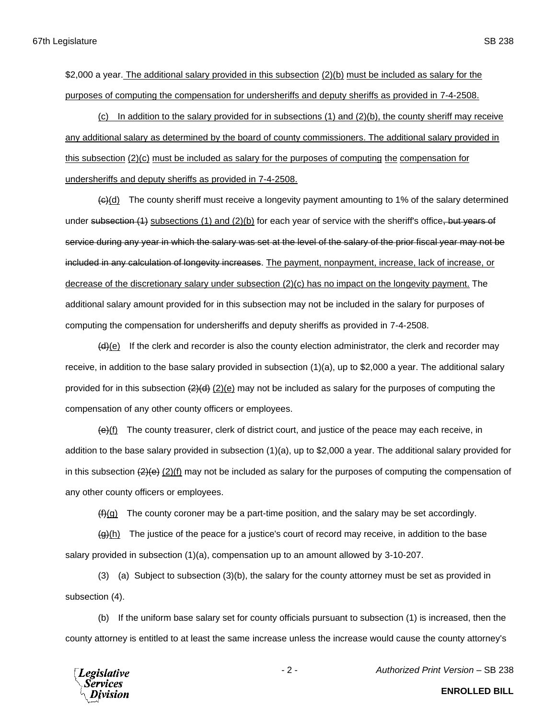(c) In addition to the salary provided for in subsections (1) and (2)(b), the county sheriff may receive any additional salary as determined by the board of county commissioners. The additional salary provided in this subsection (2)(c) must be included as salary for the purposes of computing the compensation for undersheriffs and deputy sheriffs as provided in 7-4-2508.

 $\left\langle \Theta \right\rangle$ (d) The county sheriff must receive a longevity payment amounting to 1% of the salary determined under subsection (1) subsections (1) and (2)(b) for each year of service with the sheriff's office, but years of service during any year in which the salary was set at the level of the salary of the prior fiscal year may not be included in any calculation of longevity increases. The payment, nonpayment, increase, lack of increase, or decrease of the discretionary salary under subsection (2)(c) has no impact on the longevity payment. The additional salary amount provided for in this subsection may not be included in the salary for purposes of computing the compensation for undersheriffs and deputy sheriffs as provided in 7-4-2508.

 $(4)$ (e) If the clerk and recorder is also the county election administrator, the clerk and recorder may receive, in addition to the base salary provided in subsection (1)(a), up to \$2,000 a year. The additional salary provided for in this subsection  $(2)(d)$  (2)(e) may not be included as salary for the purposes of computing the compensation of any other county officers or employees.

 $\left\langle \Theta \right\rangle$  The county treasurer, clerk of district court, and justice of the peace may each receive, in addition to the base salary provided in subsection (1)(a), up to \$2,000 a year. The additional salary provided for in this subsection  $(2)(e)$  (2)(f) may not be included as salary for the purposes of computing the compensation of any other county officers or employees.

 $(f<sub>i</sub>)(g)$  The county coroner may be a part-time position, and the salary may be set accordingly.

 $\left(\frac{g}{h}\right)$  The justice of the peace for a justice's court of record may receive, in addition to the base salary provided in subsection (1)(a), compensation up to an amount allowed by 3-10-207.

(3) (a) Subject to subsection (3)(b), the salary for the county attorney must be set as provided in subsection (4).

(b) If the uniform base salary set for county officials pursuant to subsection (1) is increased, then the county attorney is entitled to at least the same increase unless the increase would cause the county attorney's



- 2 - *Authorized Print Version* – SB 238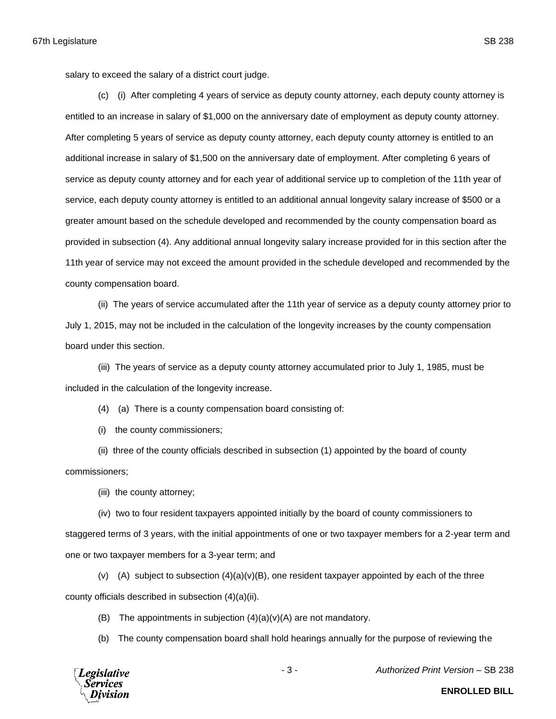salary to exceed the salary of a district court judge.

(c) (i) After completing 4 years of service as deputy county attorney, each deputy county attorney is entitled to an increase in salary of \$1,000 on the anniversary date of employment as deputy county attorney. After completing 5 years of service as deputy county attorney, each deputy county attorney is entitled to an additional increase in salary of \$1,500 on the anniversary date of employment. After completing 6 years of service as deputy county attorney and for each year of additional service up to completion of the 11th year of service, each deputy county attorney is entitled to an additional annual longevity salary increase of \$500 or a greater amount based on the schedule developed and recommended by the county compensation board as provided in subsection (4). Any additional annual longevity salary increase provided for in this section after the 11th year of service may not exceed the amount provided in the schedule developed and recommended by the county compensation board.

(ii) The years of service accumulated after the 11th year of service as a deputy county attorney prior to July 1, 2015, may not be included in the calculation of the longevity increases by the county compensation board under this section.

(iii) The years of service as a deputy county attorney accumulated prior to July 1, 1985, must be included in the calculation of the longevity increase.

(4) (a) There is a county compensation board consisting of:

(i) the county commissioners;

(ii) three of the county officials described in subsection (1) appointed by the board of county commissioners;

(iii) the county attorney;

(iv) two to four resident taxpayers appointed initially by the board of county commissioners to staggered terms of 3 years, with the initial appointments of one or two taxpayer members for a 2-year term and one or two taxpayer members for a 3-year term; and

(v) (A) subject to subsection  $(4)(a)(v)(B)$ , one resident taxpayer appointed by each of the three county officials described in subsection (4)(a)(ii).

(B) The appointments in subjection  $(4)(a)(v)(A)$  are not mandatory.

(b) The county compensation board shall hold hearings annually for the purpose of reviewing the

**Legislative** Services

- 3 - *Authorized Print Version* – SB 238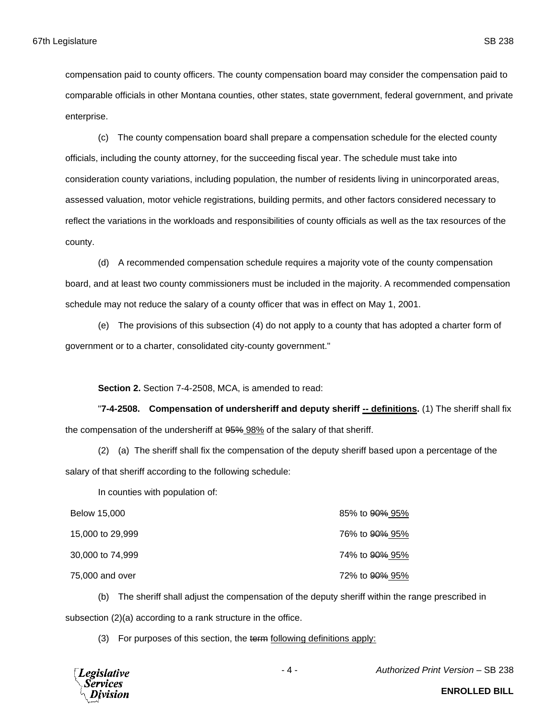compensation paid to county officers. The county compensation board may consider the compensation paid to comparable officials in other Montana counties, other states, state government, federal government, and private enterprise.

(c) The county compensation board shall prepare a compensation schedule for the elected county officials, including the county attorney, for the succeeding fiscal year. The schedule must take into consideration county variations, including population, the number of residents living in unincorporated areas, assessed valuation, motor vehicle registrations, building permits, and other factors considered necessary to reflect the variations in the workloads and responsibilities of county officials as well as the tax resources of the county.

(d) A recommended compensation schedule requires a majority vote of the county compensation board, and at least two county commissioners must be included in the majority. A recommended compensation schedule may not reduce the salary of a county officer that was in effect on May 1, 2001.

(e) The provisions of this subsection (4) do not apply to a county that has adopted a charter form of government or to a charter, consolidated city-county government."

**Section 2.** Section 7-4-2508, MCA, is amended to read:

"7-4-2508. Compensation of undersheriff and deputy sheriff -- definitions. (1) The sheriff shall fix the compensation of the undersheriff at  $95\%$  98% of the salary of that sheriff.

(2) (a) The sheriff shall fix the compensation of the deputy sheriff based upon a percentage of the salary of that sheriff according to the following schedule:

In counties with population of:

| Below 15,000     | 85% to <del>90%</del> 95% |
|------------------|---------------------------|
| 15,000 to 29,999 | 76% to 90% 95%            |
| 30,000 to 74,999 | 74% to 90% 95%            |
| 75,000 and over  | 72% to <del>90%</del> 95% |

(b) The sheriff shall adjust the compensation of the deputy sheriff within the range prescribed in subsection (2)(a) according to a rank structure in the office.

(3) For purposes of this section, the term following definitions apply:



- 4 - *Authorized Print Version* – SB 238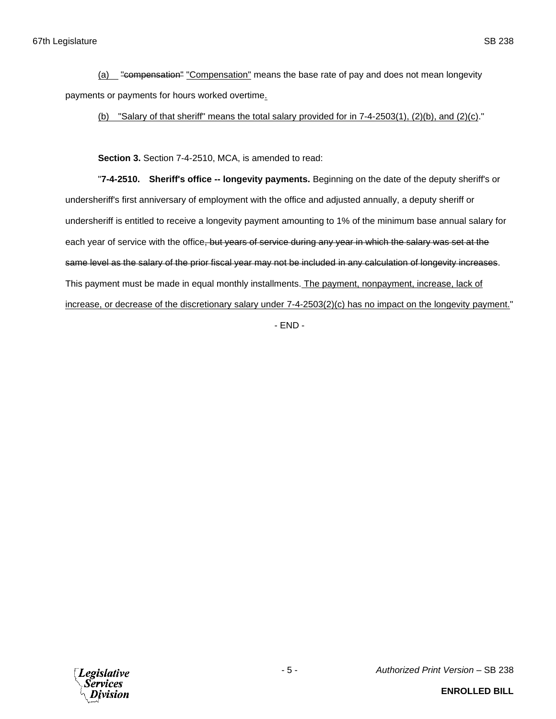(a) "compensation" "Compensation" means the base rate of pay and does not mean longevity payments or payments for hours worked overtime.

(b) "Salary of that sheriff" means the total salary provided for in 7-4-2503(1), (2)(b), and (2)(c)."

**Section 3.** Section 7-4-2510, MCA, is amended to read:

"**7-4-2510. Sheriff's office -- longevity payments.** Beginning on the date of the deputy sheriff's or undersheriff's first anniversary of employment with the office and adjusted annually, a deputy sheriff or undersheriff is entitled to receive a longevity payment amounting to 1% of the minimum base annual salary for each year of service with the office, but years of service during any year in which the salary was set at the same level as the salary of the prior fiscal year may not be included in any calculation of longevity increases. This payment must be made in equal monthly installments. The payment, nonpayment, increase, lack of increase, or decrease of the discretionary salary under 7-4-2503(2)(c) has no impact on the longevity payment."

- END -

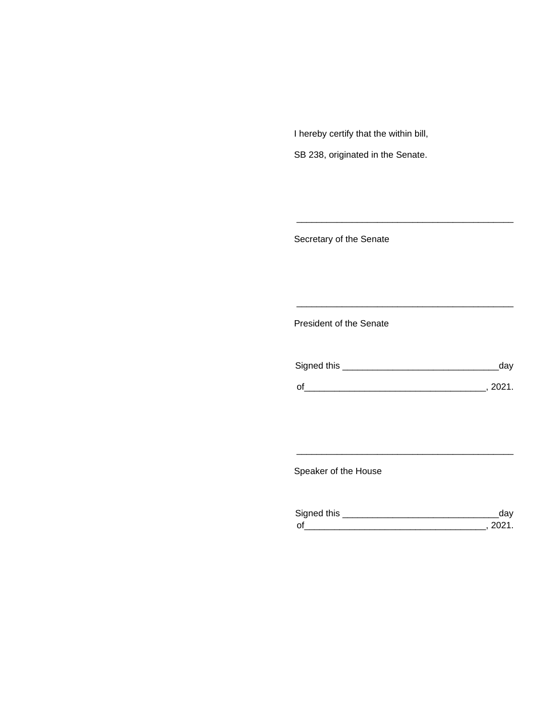I hereby certify that the within bill,

SB 238, originated in the Senate.

Secretary of the Senate

President of the Senate

| Signed this | ua     |
|-------------|--------|
|             |        |
| $\Omega$    | יניחכי |

\_\_\_\_\_\_\_\_\_\_\_\_\_\_\_\_\_\_\_\_\_\_\_\_\_\_\_\_\_\_\_\_\_\_\_\_\_\_\_\_\_\_\_

\_\_\_\_\_\_\_\_\_\_\_\_\_\_\_\_\_\_\_\_\_\_\_\_\_\_\_\_\_\_\_\_\_\_\_\_\_\_\_\_\_\_\_

Speaker of the House

| Sianed this |  |
|-------------|--|
| $\Omega$    |  |

\_\_\_\_\_\_\_\_\_\_\_\_\_\_\_\_\_\_\_\_\_\_\_\_\_\_\_\_\_\_\_\_\_\_\_\_\_\_\_\_\_\_\_